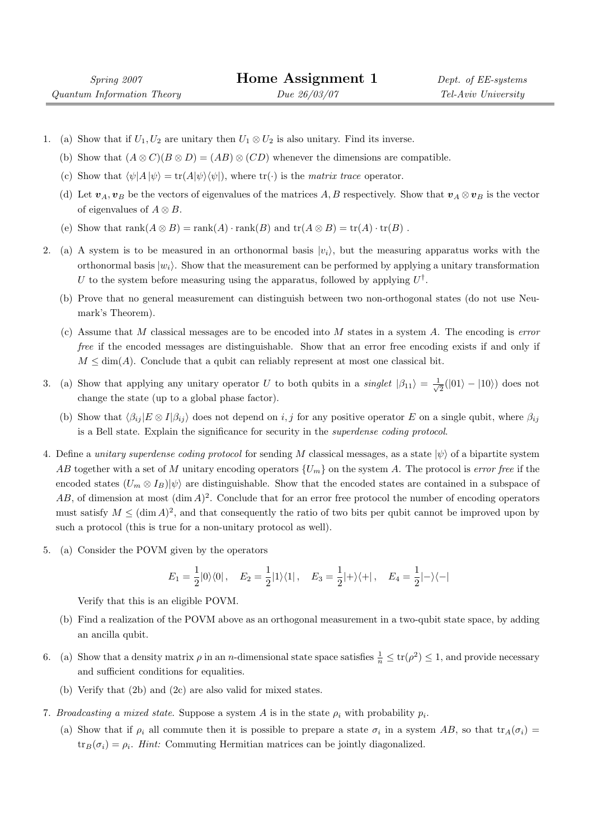- 1. (a) Show that if  $U_1, U_2$  are unitary then  $U_1 \otimes U_2$  is also unitary. Find its inverse.
	- (b) Show that  $(A \otimes C)(B \otimes D) = (AB) \otimes (CD)$  whenever the dimensions are compatible.
	- (c) Show that  $\langle \psi | A | \psi \rangle = \text{tr}(A|\psi\rangle \langle \psi|)$ , where  $\text{tr}(\cdot)$  is the matrix trace operator.
	- (d) Let  $v_A, v_B$  be the vectors of eigenvalues of the matrices A, B respectively. Show that  $v_A \otimes v_B$  is the vector of eigenvalues of  $A \otimes B$ .
	- (e) Show that  $\text{rank}(A \otimes B) = \text{rank}(A) \cdot \text{rank}(B)$  and  $\text{tr}(A \otimes B) = \text{tr}(A) \cdot \text{tr}(B)$ .
- 2. (a) A system is to be measured in an orthonormal basis  $|v_i\rangle$ , but the measuring apparatus works with the orthonormal basis  $|w_i\rangle$ . Show that the measurement can be performed by applying a unitary transformation U to the system before measuring using the apparatus, followed by applying  $U^{\dagger}$ .
	- (b) Prove that no general measurement can distinguish between two non-orthogonal states (do not use Neumark's Theorem).
	- (c) Assume that M classical messages are to be encoded into M states in a system  $A$ . The encoding is error free if the encoded messages are distinguishable. Show that an error free encoding exists if and only if  $M \leq \dim(A)$ . Conclude that a qubit can reliably represent at most one classical bit.
- 3. (a) Show that applying any unitary operator U to both qubits in a singlet  $|\beta_{11}\rangle = \frac{1}{\sqrt{2}}$  $\frac{1}{2}(|01\rangle - |10\rangle)$  does not change the state (up to a global phase factor).
	- (b) Show that  $\langle \beta_{ij} | E \otimes I | \beta_{ij} \rangle$  does not depend on i, j for any positive operator E on a single qubit, where  $\beta_{ij}$ is a Bell state. Explain the significance for security in the superdense coding protocol.
- 4. Define a unitary superdense coding protocol for sending M classical messages, as a state  $|\psi\rangle$  of a bipartite system AB together with a set of M unitary encoding operators  $\{U_m\}$  on the system A. The protocol is error free if the encoded states  $(U_m \otimes I_B)|\psi\rangle$  are distinguishable. Show that the encoded states are contained in a subspace of  $AB$ , of dimension at most  $(\dim A)^2$ . Conclude that for an error free protocol the number of encoding operators must satisfy  $M \leq (\dim A)^2$ , and that consequently the ratio of two bits per qubit cannot be improved upon by such a protocol (this is true for a non-unitary protocol as well).
- 5. (a) Consider the POVM given by the operators

$$
E_1 = \frac{1}{2}|0\rangle\langle 0|, \quad E_2 = \frac{1}{2}|1\rangle\langle 1|, \quad E_3 = \frac{1}{2}|+\rangle\langle +|, \quad E_4 = \frac{1}{2}|-\rangle\langle -|
$$

Verify that this is an eligible POVM.

- (b) Find a realization of the POVM above as an orthogonal measurement in a two-qubit state space, by adding an ancilla qubit.
- 6. (a) Show that a density matrix  $\rho$  in an *n*-dimensional state space satisfies  $\frac{1}{n} \leq \text{tr}(\rho^2) \leq 1$ , and provide necessary and sufficient conditions for equalities.
	- (b) Verify that (2b) and (2c) are also valid for mixed states.
- 7. Broadcasting a mixed state. Suppose a system A is in the state  $\rho_i$  with probability  $p_i$ .
	- (a) Show that if  $\rho_i$  all commute then it is possible to prepare a state  $\sigma_i$  in a system AB, so that  $\text{tr}_A(\sigma_i)$  =  $\text{tr}_B(\sigma_i) = \rho_i$ . Hint: Commuting Hermitian matrices can be jointly diagonalized.